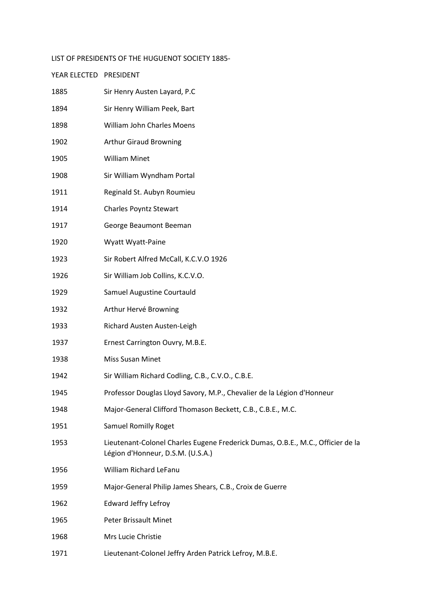## LIST OF PRESIDENTS OF THE HUGUENOT SOCIETY 1885-

YEAR ELECTED PRESIDENT

## 1885 Sir Henry Austen Layard, P.C 1894 Sir Henry William Peek, Bart 1898 William John Charles Moens 1902 Arthur Giraud Browning 1905 William Minet 1908 Sir William Wyndham Portal 1911 Reginald St. Aubyn Roumieu 1914 Charles Poyntz Stewart 1917 George Beaumont Beeman 1920 Wyatt Wyatt-Paine 1923 Sir Robert Alfred McCall, K.C.V.O 1926 1926 Sir William Job Collins, K.C.V.O. 1929 Samuel Augustine Courtauld 1932 Arthur Hervé Browning 1933 Richard Austen Austen-Leigh 1937 Ernest Carrington Ouvry, M.B.E. 1938 Miss Susan Minet 1942 Sir William Richard Codling, C.B., C.V.O., C.B.E. 1945 Professor Douglas Lloyd Savory, M.P., Chevalier de la Légion d'Honneur 1948 Major-General Clifford Thomason Beckett, C.B., C.B.E., M.C. 1951 Samuel Romilly Roget 1953 Lieutenant-Colonel Charles Eugene Frederick Dumas, O.B.E., M.C., Officier de la Légion d'Honneur, D.S.M. (U.S.A.) 1956 William Richard LeFanu 1959 Major-General Philip James Shears, C.B., Croix de Guerre 1962 Edward Jeffry Lefroy 1965 Peter Brissault Minet 1968 Mrs Lucie Christie

1971 Lieutenant-Colonel Jeffry Arden Patrick Lefroy, M.B.E.